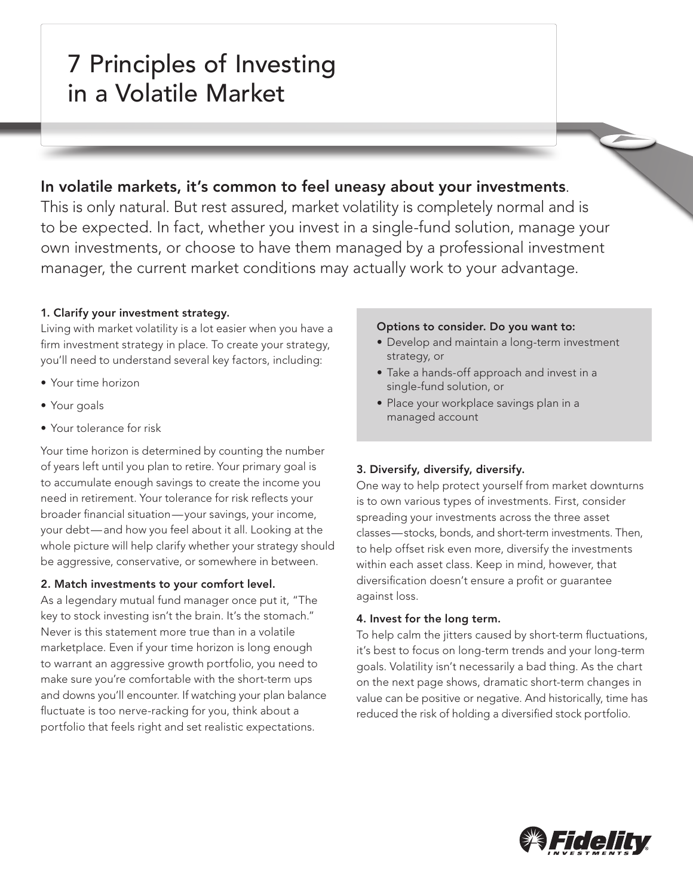# 7 Principles of Investing in a Volatile Market

# In volatile markets, it's common to feel uneasy about your investments.

This is only natural. But rest assured, market volatility is completely normal and is to be expected. In fact, whether you invest in a single-fund solution, manage your own investments, or choose to have them managed by a professional investment manager, the current market conditions may actually work to your advantage.

# 1. Clarify your investment strategy.

Living with market volatility is a lot easier when you have a firm investment strategy in place. To create your strategy, you'll need to understand several key factors, including:

- Your time horizon
- Your goals
- Your tolerance for risk

Your time horizon is determined by counting the number of years left until you plan to retire. Your primary goal is to accumulate enough savings to create the income you need in retirement. Your tolerance for risk reflects your broader financial situation—your savings, your income, your debt—and how you feel about it all. Looking at the whole picture will help clarify whether your strategy should be aggressive, conservative, or somewhere in between.

# 2. Match investments to your comfort level.

As a legendary mutual fund manager once put it, "The key to stock investing isn't the brain. It's the stomach." Never is this statement more true than in a volatile marketplace. Even if your time horizon is long enough to warrant an aggressive growth portfolio, you need to make sure you're comfortable with the short-term ups and downs you'll encounter. If watching your plan balance fluctuate is too nerve-racking for you, think about a portfolio that feels right and set realistic expectations.

#### Options to consider. Do you want to:

- Develop and maintain a long-term investment strategy, or
- Take a hands-off approach and invest in a single-fund solution, or
- Place your workplace savings plan in a managed account

# 3. Diversify, diversify, diversify.

One way to help protect yourself from market downturns is to own various types of investments. First, consider spreading your investments across the three asset classes—stocks, bonds, and short-term investments. Then, to help offset risk even more, diversify the investments within each asset class. Keep in mind, however, that diversification doesn't ensure a profit or guarantee against loss.

# 4. Invest for the long term.

To help calm the jitters caused by short-term fluctuations, it's best to focus on long-term trends and your long-term goals. Volatility isn't necessarily a bad thing. As the chart on the next page shows, dramatic short-term changes in value can be positive or negative. And historically, time has reduced the risk of holding a diversified stock portfolio.

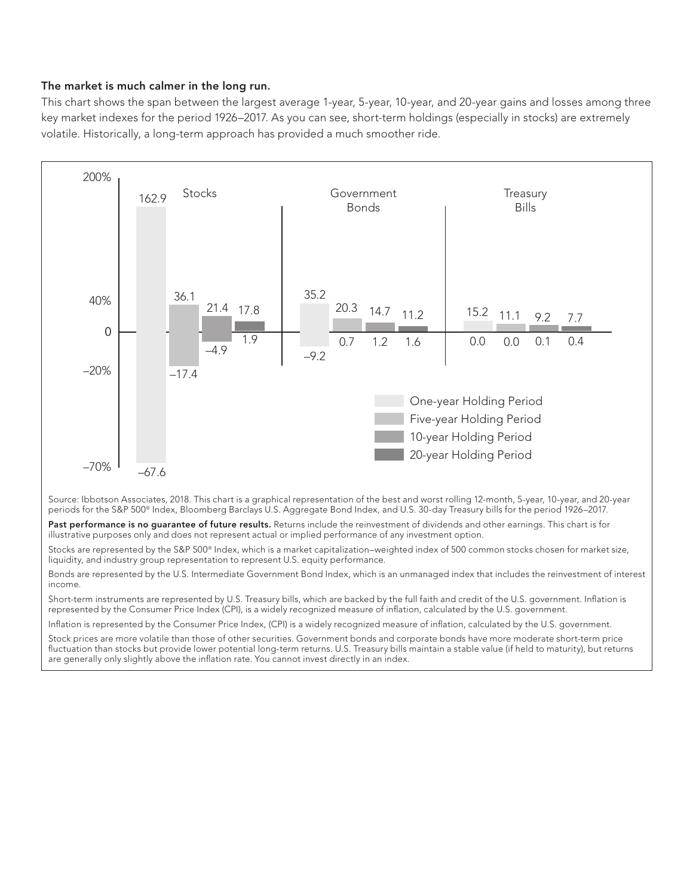#### The market is much calmer in the long run.

This chart shows the span between the largest average 1-year, 5-year, 10-year, and 20-year gains and losses among three key market indexes for the period 1926–2017. As you can see, short-term holdings (especially in stocks) are extremely volatile. Historically, a long-term approach has provided a much smoother ride.



Source: Ibbotson Associates, 2018. This chart is a graphical representation of the best and worst rolling 12-month, 5-year, 10-year, and 20-year periods for the S&P 500® Index, Bloomberg Barclays U.S. Aggregate Bond Index, and U.S. 30-day Treasury bills for the period 1926–2017.

Past performance is no guarantee of future results. Returns include the reinvestment of dividends and other earnings. This chart is for illustrative purposes only and does not represent actual or implied performance of any investment option.

Stocks are represented by the S&P 500® Index, which is a market capitalization–weighted index of 500 common stocks chosen for market size, liquidity, and industry group representation to represent U.S. equity performance.

Bonds are represented by the U.S. Intermediate Government Bond Index, which is an unmanaged index that includes the reinvestment of interest income.

Short-term instruments are represented by U.S. Treasury bills, which are backed by the full faith and credit of the U.S. government. Inflation is represented by the Consumer Price Index (CPI), is a widely recognized measure of inflation, calculated by the U.S. government.

Inflation is represented by the Consumer Price Index, (CPI) is a widely recognized measure of inflation, calculated by the U.S. government.

Stock prices are more volatile than those of other securities. Government bonds and corporate bonds have more moderate short-term price fluctuation than stocks but provide lower potential long-term returns. U.S. Treasury bills maintain a stable value (if held to maturity), but returns are generally only slightly above the inflation rate. You cannot invest directly in an index.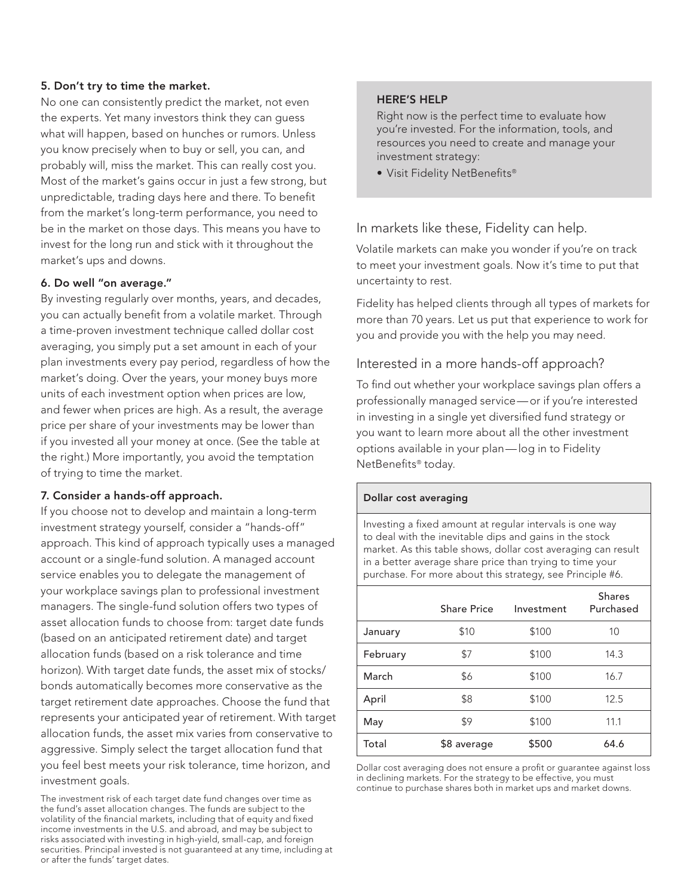#### 5. Don't try to time the market.

No one can consistently predict the market, not even the experts. Yet many investors think they can guess what will happen, based on hunches or rumors. Unless you know precisely when to buy or sell, you can, and probably will, miss the market. This can really cost you. Most of the market's gains occur in just a few strong, but unpredictable, trading days here and there. To benefit from the market's long-term performance, you need to be in the market on those days. This means you have to invest for the long run and stick with it throughout the market's ups and downs.

#### 6. Do well "on average."

By investing regularly over months, years, and decades, you can actually benefit from a volatile market. Through a time-proven investment technique called dollar cost averaging, you simply put a set amount in each of your plan investments every pay period, regardless of how the market's doing. Over the years, your money buys more units of each investment option when prices are low, and fewer when prices are high. As a result, the average price per share of your investments may be lower than if you invested all your money at once. (See the table at the right.) More importantly, you avoid the temptation of trying to time the market.

#### 7. Consider a hands-off approach.

If you choose not to develop and maintain a long-term investment strategy yourself, consider a "hands-off" approach. This kind of approach typically uses a managed account or a single-fund solution. A managed account service enables you to delegate the management of your workplace savings plan to professional investment managers. The single-fund solution offers two types of asset allocation funds to choose from: target date funds (based on an anticipated retirement date) and target allocation funds (based on a risk tolerance and time horizon). With target date funds, the asset mix of stocks/ bonds automatically becomes more conservative as the target retirement date approaches. Choose the fund that represents your anticipated year of retirement. With target allocation funds, the asset mix varies from conservative to aggressive. Simply select the target allocation fund that you feel best meets your risk tolerance, time horizon, and investment goals.

The investment risk of each target date fund changes over time as the fund's asset allocation changes. The funds are subject to the volatility of the financial markets, including that of equity and fixed income investments in the U.S. and abroad, and may be subject to risks associated with investing in high-yield, small-cap, and foreign securities. Principal invested is not guaranteed at any time, including at or after the funds' target dates.

#### HERE'S HELP

Right now is the perfect time to evaluate how you're invested. For the information, tools, and resources you need to create and manage your investment strategy:

• Visit Fidelity NetBenefits®

In markets like these, Fidelity can help.

Volatile markets can make you wonder if you're on track to meet your investment goals. Now it's time to put that uncertainty to rest.

Fidelity has helped clients through all types of markets for more than 70 years. Let us put that experience to work for you and provide you with the help you may need.

# Interested in a more hands-off approach?

To find out whether your workplace savings plan offers a professionally managed service—or if you're interested in investing in a single yet diversified fund strategy or you want to learn more about all the other investment options available in your plan—log in to Fidelity NetBenefits® today.

#### Dollar cost averaging

Investing a fixed amount at regular intervals is one way to deal with the inevitable dips and gains in the stock market. As this table shows, dollar cost averaging can result in a better average share price than trying to time your purchase. For more about this strategy, see Principle #6.

|          | Share Price | Investment | <b>Shares</b><br>Purchased |
|----------|-------------|------------|----------------------------|
| January  | \$10        | \$100      | 10                         |
| February | \$7         | \$100      | 14.3                       |
| March    | \$6         | \$100      | 16.7                       |
| April    | \$8         | \$100      | 12.5                       |
| May      | \$9         | \$100      | 11.1                       |
| Total    | \$8 average | \$500      | 64.6                       |

Dollar cost averaging does not ensure a profit or guarantee against loss in declining markets. For the strategy to be effective, you must continue to purchase shares both in market ups and market downs.